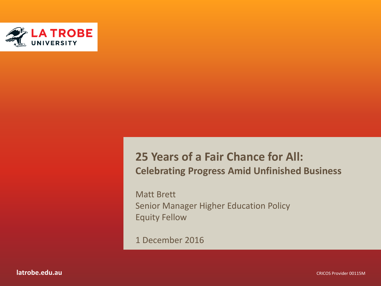

#### **25 Years of a Fair Chance for All: Celebrating Progress Amid Unfinished Business**

Matt Brett Senior Manager Higher Education Policy Equity Fellow

1 December 2016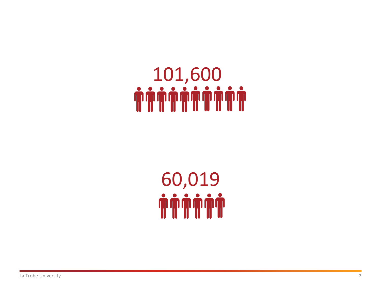# 101,600

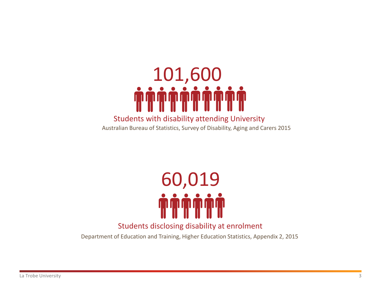

#### Students with disability attending University

Australian Bureau of Statistics, Survey of Disability, Aging and Carers 2015



#### Students disclosing disability at enrolment

Department of Education and Training, Higher Education Statistics, Appendix 2, 2015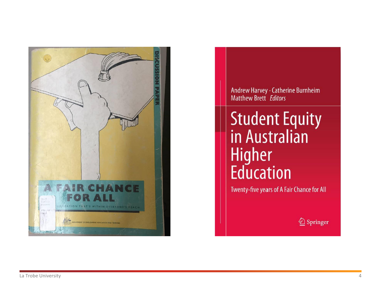

Andrew Harvey · Catherine Burnheim<br>Matthew Brett Editors

## **Student Equity**<br>in Australian **Higher**<br>**Education**

Twenty-five years of A Fair Chance for All

2 Springer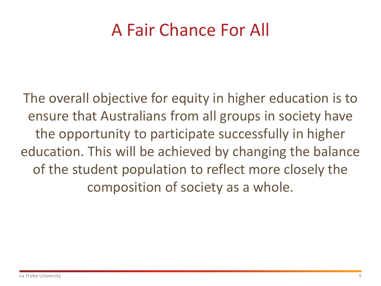### A Fair Chance For All

The overall objective for equity in higher education is to ensure that Australians from all groups in society have the opportunity to participate successfully in higher education. This will be achieved by changing the balance of the student population to reflect more closely the composition of society as a whole.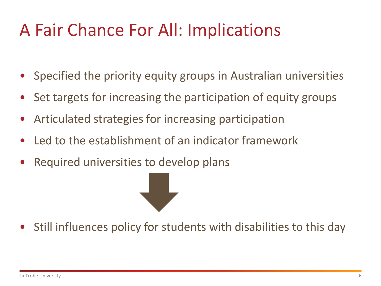## A Fair Chance For All: Implications

- Specified the priority equity groups in Australian universities
- Set targets for increasing the participation of equity groups
- Articulated strategies for increasing participation
- Led to the establishment of an indicator framework
- Required universities to develop plans

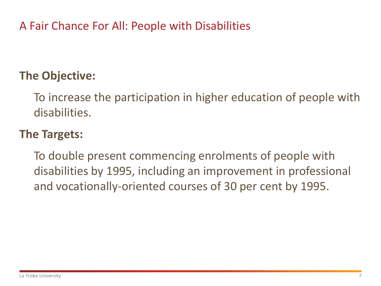A Fair Chance For All: People with Disabilities

#### **The Objective:**

To increase the participation in higher education of people with disabilities.

#### **The Targets:**

To double present commencing enrolments of people with disabilities by 1995, including an improvement in professional and vocationally-oriented courses of 30 per cent by 1995.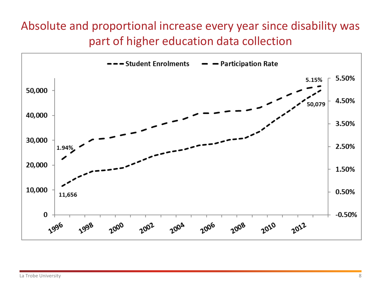#### Absolute and proportional increase every year since disability was part of higher education data collection

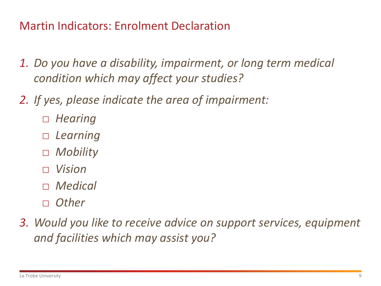Martin Indicators: Enrolment Declaration

- *1. Do you have a disability, impairment, or long term medical condition which may affect your studies?*
- *2. If yes, please indicate the area of impairment:*
	- □ *Hearing*
	- □ *Learning*
	- □ *Mobility*
	- □ *Vision*
	- □ *Medical*
	- □ *Other*
- *3. Would you like to receive advice on support services, equipment and facilities which may assist you?*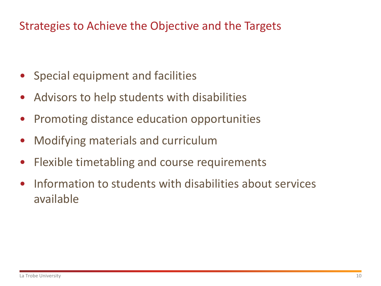#### Strategies to Achieve the Objective and the Targets

- Special equipment and facilities
- Advisors to help students with disabilities
- Promoting distance education opportunities
- Modifying materials and curriculum
- Flexible timetabling and course requirements
- Information to students with disabilities about services available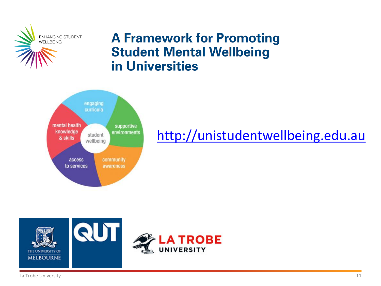

#### **A Framework for Promoting Student Mental Wellbeing** in Universities



#### [http://unistudentwellbeing.edu.au](http://unistudentwellbeing.edu.au/)



La Trobe University **11**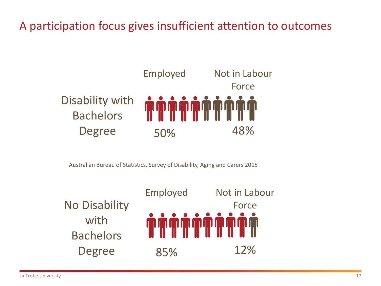#### A participation focus gives insufficient attention to outcomes



Australian Bureau of Statistics, Survey of Disability, Aging and Carers 2015

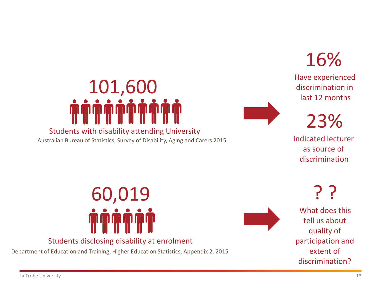## Students with disability attending University 101,600

Australian Bureau of Statistics, Survey of Disability, Aging and Carers 2015

16%

Have experienced discrimination in last 12 months

23%

Indicated lecturer as source of discrimination

? ? What does this

tell us about quality of participation and extent of discrimination?

60,019

#### Students disclosing disability at enrolment

Department of Education and Training, Higher Education Statistics, Appendix 2, 2015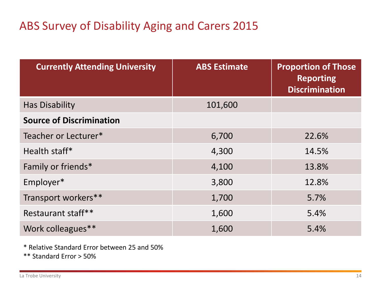#### ABS Survey of Disability Aging and Carers 2015

| <b>Currently Attending University</b> | <b>ABS Estimate</b> | <b>Proportion of Those</b><br><b>Reporting</b><br><b>Discrimination</b> |
|---------------------------------------|---------------------|-------------------------------------------------------------------------|
| <b>Has Disability</b>                 | 101,600             |                                                                         |
| <b>Source of Discrimination</b>       |                     |                                                                         |
| Teacher or Lecturer*                  | 6,700               | 22.6%                                                                   |
| Health staff*                         | 4,300               | 14.5%                                                                   |
| Family or friends*                    | 4,100               | 13.8%                                                                   |
| Employer*                             | 3,800               | 12.8%                                                                   |
| Transport workers**                   | 1,700               | 5.7%                                                                    |
| Restaurant staff**                    | 1,600               | 5.4%                                                                    |
| Work colleagues**                     | 1,600               | 5.4%                                                                    |

\* Relative Standard Error between 25 and 50%

\*\* Standard Error > 50%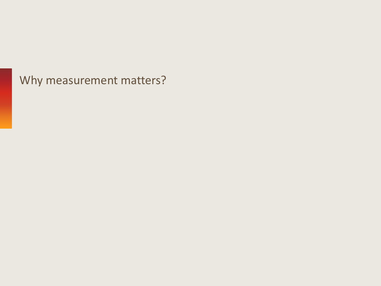Why measurement matters?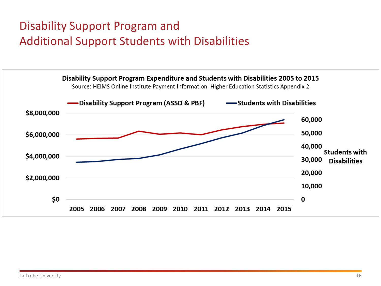#### Disability Support Program and Additional Support Students with Disabilities

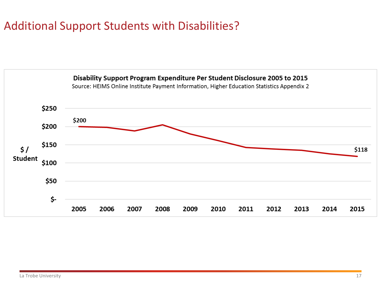#### Additional Support Students with Disabilities?

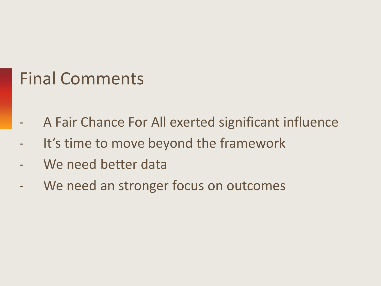### Final Comments

- A Fair Chance For All exerted significant influence
- It's time to move beyond the framework
- We need better data
- We need an stronger focus on outcomes